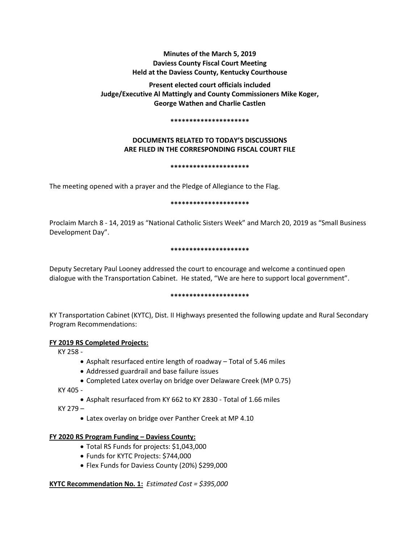# **Minutes of the March 5, 2019 Daviess County Fiscal Court Meeting Held at the Daviess County, Kentucky Courthouse**

**Present elected court officials included Judge/Executive Al Mattingly and County Commissioners Mike Koger, George Wathen and Charlie Castlen** 

#### **\*\*\*\*\*\*\*\*\*\*\*\*\*\*\*\*\*\*\*\*\***

# **DOCUMENTS RELATED TO TODAY'S DISCUSSIONS ARE FILED IN THE CORRESPONDING FISCAL COURT FILE**

### **\*\*\*\*\*\*\*\*\*\*\*\*\*\*\*\*\*\*\*\*\***

The meeting opened with a prayer and the Pledge of Allegiance to the Flag.

### **\*\*\*\*\*\*\*\*\*\*\*\*\*\*\*\*\*\*\*\*\***

Proclaim March 8 - 14, 2019 as "National Catholic Sisters Week" and March 20, 2019 as "Small Business Development Day".

### **\*\*\*\*\*\*\*\*\*\*\*\*\*\*\*\*\*\*\*\*\***

Deputy Secretary Paul Looney addressed the court to encourage and welcome a continued open dialogue with the Transportation Cabinet. He stated, "We are here to support local government".

### **\*\*\*\*\*\*\*\*\*\*\*\*\*\*\*\*\*\*\*\*\***

KY Transportation Cabinet (KYTC), Dist. II Highways presented the following update and Rural Secondary Program Recommendations:

## **FY 2019 RS Completed Projects:**

KY 258 -

- Asphalt resurfaced entire length of roadway Total of 5.46 miles
- Addressed guardrail and base failure issues
- Completed Latex overlay on bridge over Delaware Creek (MP 0.75)

KY 405 -

• Asphalt resurfaced from KY 662 to KY 2830 - Total of 1.66 miles

KY 279 –

• Latex overlay on bridge over Panther Creek at MP 4.10

## **FY 2020 RS Program Funding – Daviess County:**

- Total RS Funds for projects: \$1,043,000
- Funds for KYTC Projects: \$744,000
- Flex Funds for Daviess County (20%) \$299,000

## **KYTC Recommendation No. 1:** *Estimated Cost = \$395,000*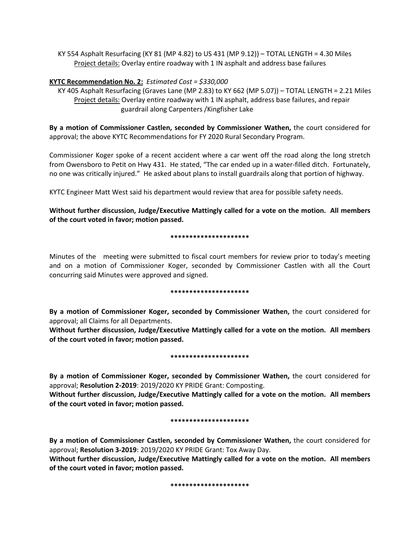KY 554 Asphalt Resurfacing (KY 81 (MP 4.82) to US 431 (MP 9.12)) – TOTAL LENGTH = 4.30 Miles Project details: Overlay entire roadway with 1 IN asphalt and address base failures

## **KYTC Recommendation No. 2:** *Estimated Cost = \$330,000*

 KY 405 Asphalt Resurfacing (Graves Lane (MP 2.83) to KY 662 (MP 5.07)) – TOTAL LENGTH = 2.21 Miles Project details: Overlay entire roadway with 1 IN asphalt, address base failures, and repair guardrail along Carpenters /Kingfisher Lake

**By a motion of Commissioner Castlen, seconded by Commissioner Wathen,** the court considered for approval; the above KYTC Recommendations for FY 2020 Rural Secondary Program.

Commissioner Koger spoke of a recent accident where a car went off the road along the long stretch from Owensboro to Petit on Hwy 431. He stated, "The car ended up in a water-filled ditch. Fortunately, no one was critically injured." He asked about plans to install guardrails along that portion of highway.

KYTC Engineer Matt West said his department would review that area for possible safety needs.

**Without further discussion, Judge/Executive Mattingly called for a vote on the motion. All members of the court voted in favor; motion passed.** 

### **\*\*\*\*\*\*\*\*\*\*\*\*\*\*\*\*\*\*\*\*\***

Minutes of the meeting were submitted to fiscal court members for review prior to today's meeting and on a motion of Commissioner Koger, seconded by Commissioner Castlen with all the Court concurring said Minutes were approved and signed.

### **\*\*\*\*\*\*\*\*\*\*\*\*\*\*\*\*\*\*\*\*\***

**By a motion of Commissioner Koger, seconded by Commissioner Wathen,** the court considered for approval; all Claims for all Departments.

**Without further discussion, Judge/Executive Mattingly called for a vote on the motion. All members of the court voted in favor; motion passed.** 

#### **\*\*\*\*\*\*\*\*\*\*\*\*\*\*\*\*\*\*\*\*\***

**By a motion of Commissioner Koger, seconded by Commissioner Wathen,** the court considered for approval; **Resolution 2-2019**: 2019/2020 KY PRIDE Grant: Composting.

**Without further discussion, Judge/Executive Mattingly called for a vote on the motion. All members of the court voted in favor; motion passed.** 

#### **\*\*\*\*\*\*\*\*\*\*\*\*\*\*\*\*\*\*\*\*\***

**By a motion of Commissioner Castlen, seconded by Commissioner Wathen,** the court considered for approval; **Resolution 3-2019**: 2019/2020 KY PRIDE Grant: Tox Away Day.

**Without further discussion, Judge/Executive Mattingly called for a vote on the motion. All members of the court voted in favor; motion passed.** 

**\*\*\*\*\*\*\*\*\*\*\*\*\*\*\*\*\*\*\*\*\***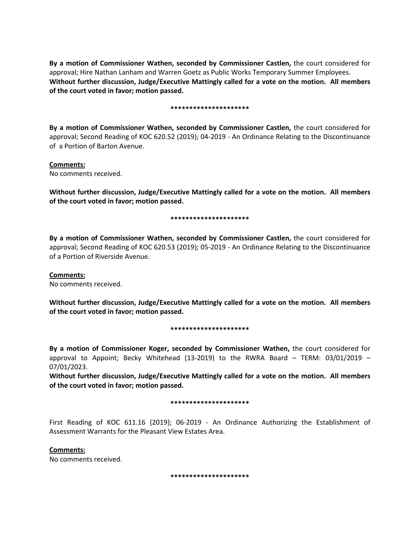**By a motion of Commissioner Wathen, seconded by Commissioner Castlen,** the court considered for approval; Hire Nathan Lanham and Warren Goetz as Public Works Temporary Summer Employees. **Without further discussion, Judge/Executive Mattingly called for a vote on the motion. All members of the court voted in favor; motion passed.** 

#### **\*\*\*\*\*\*\*\*\*\*\*\*\*\*\*\*\*\*\*\*\***

**By a motion of Commissioner Wathen, seconded by Commissioner Castlen,** the court considered for approval; Second Reading of KOC 620.52 (2019); 04-2019 - An Ordinance Relating to the Discontinuance of a Portion of Barton Avenue.

### **Comments:**

No comments received.

**Without further discussion, Judge/Executive Mattingly called for a vote on the motion. All members of the court voted in favor; motion passed.** 

### **\*\*\*\*\*\*\*\*\*\*\*\*\*\*\*\*\*\*\*\*\***

**By a motion of Commissioner Wathen, seconded by Commissioner Castlen,** the court considered for approval; Second Reading of KOC 620.53 (2019); 05-2019 - An Ordinance Relating to the Discontinuance of a Portion of Riverside Avenue.

## **Comments:**

No comments received.

**Without further discussion, Judge/Executive Mattingly called for a vote on the motion. All members of the court voted in favor; motion passed.** 

### **\*\*\*\*\*\*\*\*\*\*\*\*\*\*\*\*\*\*\*\*\***

**By a motion of Commissioner Koger, seconded by Commissioner Wathen,** the court considered for approval to Appoint; Becky Whitehead (13-2019) to the RWRA Board – TERM: 03/01/2019 – 07/01/2023.

**Without further discussion, Judge/Executive Mattingly called for a vote on the motion. All members of the court voted in favor; motion passed.** 

### **\*\*\*\*\*\*\*\*\*\*\*\*\*\*\*\*\*\*\*\*\***

First Reading of KOC 611.16 (2019); 06-2019 - An Ordinance Authorizing the Establishment of Assessment Warrants for the Pleasant View Estates Area.

### **Comments:**

No comments received.

**\*\*\*\*\*\*\*\*\*\*\*\*\*\*\*\*\*\*\*\*\***